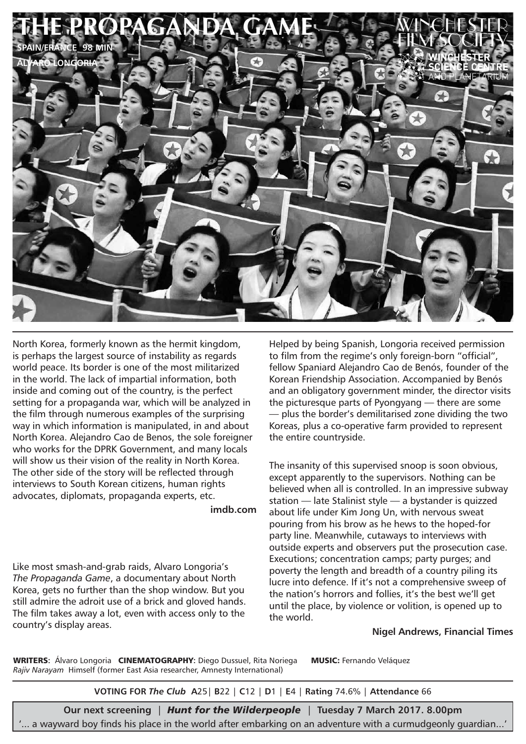

North Korea, formerly known as the hermit kingdom, is perhaps the largest source of instability as regards world peace. Its border is one of the most militarized in the world. The lack of impartial information, both inside and coming out of the country, is the perfect setting for a propaganda war, which will be analyzed in the film through numerous examples of the surprising way in which information is manipulated, in and about North Korea. Alejandro Cao de Benos, the sole foreigner who works for the DPRK Government, and many locals will show us their vision of the reality in North Korea. The other side of the story will be reflected through interviews to South Korean citizens, human rights advocates, diplomats, propaganda experts, etc.

**imdb.com**

Like most smash-and-grab raids, Alvaro Longoria's *The Propaganda Game*, a documentary about North Korea, gets no further than the shop window. But you still admire the adroit use of a brick and gloved hands. The film takes away a lot, even with access only to the country's display areas.

Helped by being Spanish, Longoria received permission to film from the regime's only foreign-born "official", fellow Spaniard Alejandro Cao de Benós, founder of the Korean Friendship Association. Accompanied by Benós and an obligatory government minder, the director visits the picturesque parts of Pyongyang — there are some — plus the border's demilitarised zone dividing the two Koreas, plus a co-operative farm provided to represent the entire countryside.

The insanity of this supervised snoop is soon obvious, except apparently to the supervisors. Nothing can be believed when all is controlled. In an impressive subway station — late Stalinist style — a bystander is quizzed about life under Kim Jong Un, with nervous sweat pouring from his brow as he hews to the hoped-for party line. Meanwhile, cutaways to interviews with outside experts and observers put the prosecution case. Executions; concentration camps; party purges; and poverty the length and breadth of a country piling its lucre into defence. If it's not a comprehensive sweep of the nation's horrors and follies, it's the best we'll get until the place, by violence or volition, is opened up to the world.

#### **Nigel Andrews, Financial Times**

WRITERS**:** Álvaro Longoria CINEMATOGRAPHY**:** Diego Dussuel, Rita Noriega MUSIC: Fernando Veláquez *Rajiv Narayam* Himself (former East Asia researcher, Amnesty International)

**VOTING FOR** *The Club* **A**25| **B**22 | **C**12 | **D**1 | **E**4 | **Rating** 74.6% | **Attendance** 66

**Our next screening** | *Hunt for the Wilderpeople* | **Tuesday 7 March 2017. 8.00pm** '... a wayward boy finds his place in the world after embarking on an adventure with a curmudgeonly guardian...'